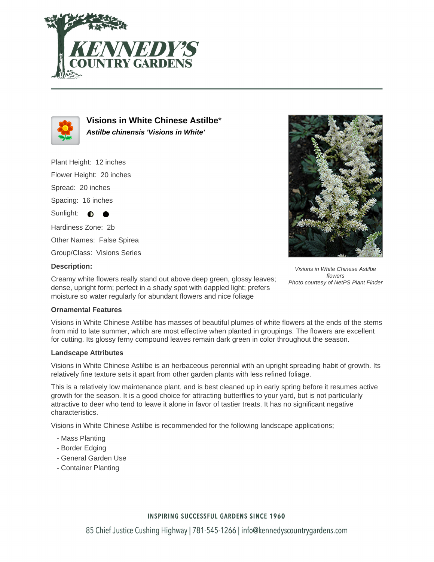



**Visions in White Chinese Astilbe**\* **Astilbe chinensis 'Visions in White'**

Plant Height: 12 inches Flower Height: 20 inches Spread: 20 inches Spacing: 16 inches Sunlight:  $\bullet$ Hardiness Zone: 2b Other Names: False Spirea

Group/Class: Visions Series

## **Description:**

Creamy white flowers really stand out above deep green, glossy leaves; dense, upright form; perfect in a shady spot with dappled light; prefers moisture so water regularly for abundant flowers and nice foliage

Visions in White Chinese Astilbe flowers Photo courtesy of NetPS Plant Finder

### **Ornamental Features**

Visions in White Chinese Astilbe has masses of beautiful plumes of white flowers at the ends of the stems from mid to late summer, which are most effective when planted in groupings. The flowers are excellent for cutting. Its glossy ferny compound leaves remain dark green in color throughout the season.

### **Landscape Attributes**

Visions in White Chinese Astilbe is an herbaceous perennial with an upright spreading habit of growth. Its relatively fine texture sets it apart from other garden plants with less refined foliage.

This is a relatively low maintenance plant, and is best cleaned up in early spring before it resumes active growth for the season. It is a good choice for attracting butterflies to your yard, but is not particularly attractive to deer who tend to leave it alone in favor of tastier treats. It has no significant negative characteristics.

Visions in White Chinese Astilbe is recommended for the following landscape applications;

- Mass Planting
- Border Edging
- General Garden Use
- Container Planting

### **INSPIRING SUCCESSFUL GARDENS SINCE 1960**

85 Chief Justice Cushing Highway | 781-545-1266 | info@kennedyscountrygardens.com